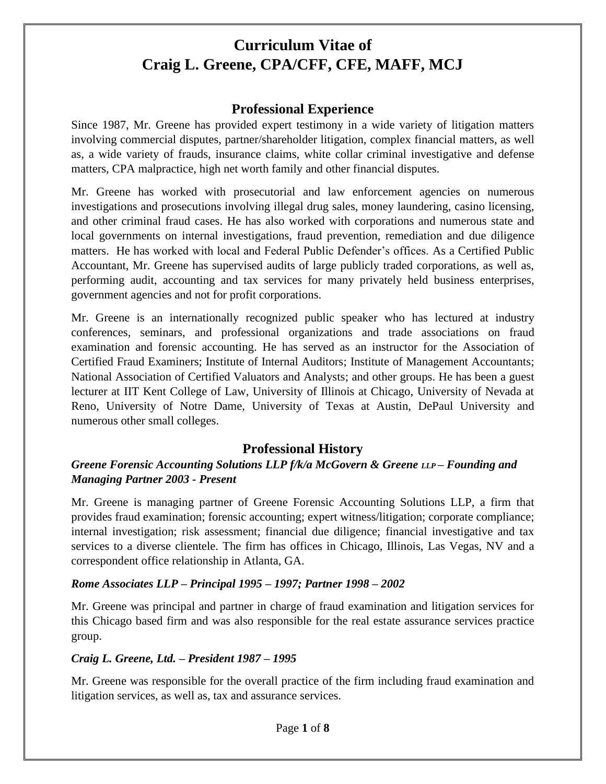#### **Professional Experience**

Since 1987, Mr. Greene has provided expert testimony in a wide variety of litigation matters involving commercial disputes, partner/shareholder litigation, complex financial matters, as well as, a wide variety of frauds, insurance claims, white collar criminal investigative and defense matters, CPA malpractice, high net worth family and other financial disputes.

Mr. Greene has worked with prosecutorial and law enforcement agencies on numerous investigations and prosecutions involving illegal drug sales, money laundering, casino licensing, and other criminal fraud cases. He has also worked with corporations and numerous state and local governments on internal investigations, fraud prevention, remediation and due diligence matters. He has worked with local and Federal Public Defender's offices. As a Certified Public Accountant, Mr. Greene has supervised audits of large publicly traded corporations, as well as, performing audit, accounting and tax services for many privately held business enterprises, government agencies and not for profit corporations.

Mr. Greene is an internationally recognized public speaker who has lectured at industry conferences, seminars, and professional organizations and trade associations on fraud examination and forensic accounting. He has served as an instructor for the Association of Certified Fraud Examiners; Institute of Internal Auditors; Institute of Management Accountants; National Association of Certified Valuators and Analysts; and other groups. He has been a guest lecturer at IIT Kent College of Law, University of Illinois at Chicago, University of Nevada at Reno, University of Notre Dame, University of Texas at Austin, DePaul University and numerous other small colleges.

### **Professional History**

#### *Greene Forensic Accounting Solutions LLP f/k/a McGovern & Greene LLP – Founding and Managing Partner 2003 - Present*

Mr. Greene is managing partner of Greene Forensic Accounting Solutions LLP, a firm that provides fraud examination; forensic accounting; expert witness/litigation; corporate compliance; internal investigation; risk assessment; financial due diligence; financial investigative and tax services to a diverse clientele. The firm has offices in Chicago, Illinois, Las Vegas, NV and a correspondent office relationship in Atlanta, GA.

#### *Rome Associates LLP – Principal 1995 – 1997; Partner 1998 – 2002*

Mr. Greene was principal and partner in charge of fraud examination and litigation services for this Chicago based firm and was also responsible for the real estate assurance services practice group.

#### *Craig L. Greene, Ltd. – President 1987 – 1995*

Mr. Greene was responsible for the overall practice of the firm including fraud examination and litigation services, as well as, tax and assurance services.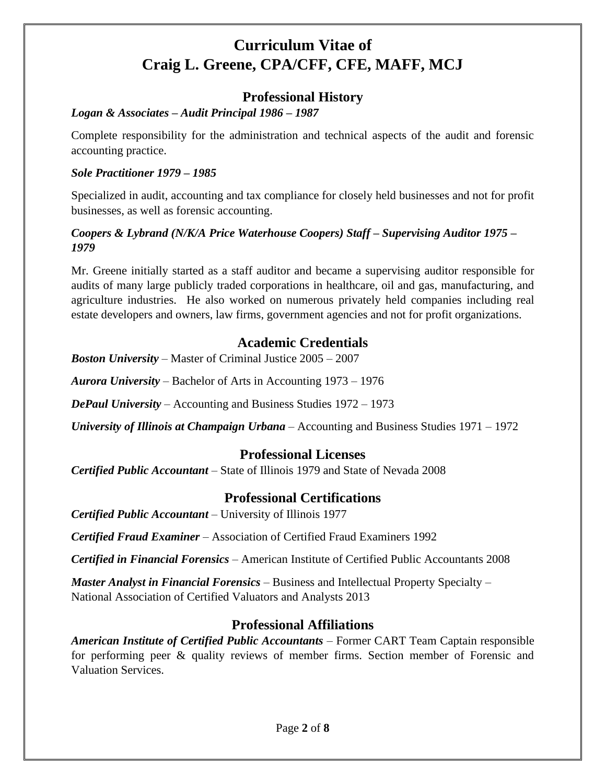## **Professional History**

#### *Logan & Associates – Audit Principal 1986 – 1987*

Complete responsibility for the administration and technical aspects of the audit and forensic accounting practice.

#### *Sole Practitioner 1979 – 1985*

Specialized in audit, accounting and tax compliance for closely held businesses and not for profit businesses, as well as forensic accounting.

#### *Coopers & Lybrand (N/K/A Price Waterhouse Coopers) Staff – Supervising Auditor 1975 – 1979*

Mr. Greene initially started as a staff auditor and became a supervising auditor responsible for audits of many large publicly traded corporations in healthcare, oil and gas, manufacturing, and agriculture industries. He also worked on numerous privately held companies including real estate developers and owners, law firms, government agencies and not for profit organizations.

### **Academic Credentials**

*Boston University* – Master of Criminal Justice 2005 – 2007

*Aurora University* – Bachelor of Arts in Accounting 1973 – 1976

*DePaul University* – Accounting and Business Studies 1972 – 1973

*University of Illinois at Champaign Urbana* – Accounting and Business Studies 1971 – 1972

### **Professional Licenses**

*Certified Public Accountant* – State of Illinois 1979 and State of Nevada 2008

## **Professional Certifications**

*Certified Public Accountant* – University of Illinois 1977

*Certified Fraud Examiner* – Association of Certified Fraud Examiners 1992

*Certified in Financial Forensics* – American Institute of Certified Public Accountants 2008

*Master Analyst in Financial Forensics* – Business and Intellectual Property Specialty – National Association of Certified Valuators and Analysts 2013

## **Professional Affiliations**

*American Institute of Certified Public Accountants* – Former CART Team Captain responsible for performing peer & quality reviews of member firms. Section member of Forensic and Valuation Services.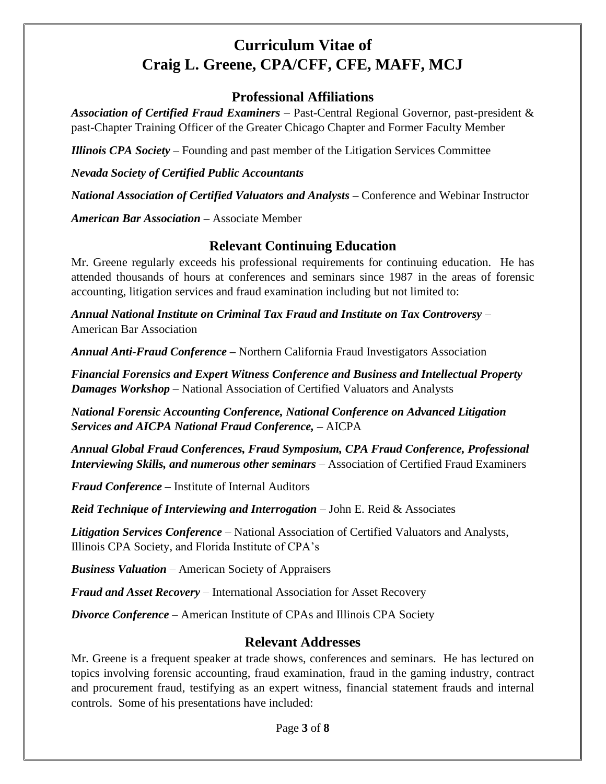#### **Professional Affiliations**

*Association of Certified Fraud Examiners* – Past-Central Regional Governor, past-president & past-Chapter Training Officer of the Greater Chicago Chapter and Former Faculty Member

*Illinois CPA Society* – Founding and past member of the Litigation Services Committee

*Nevada Society of Certified Public Accountants*

*National Association of Certified Valuators and Analysts –* Conference and Webinar Instructor

*American Bar Association –* Associate Member

### **Relevant Continuing Education**

Mr. Greene regularly exceeds his professional requirements for continuing education. He has attended thousands of hours at conferences and seminars since 1987 in the areas of forensic accounting, litigation services and fraud examination including but not limited to:

*Annual National Institute on Criminal Tax Fraud and Institute on Tax Controversy* – American Bar Association

*Annual Anti-Fraud Conference –* Northern California Fraud Investigators Association

*Financial Forensics and Expert Witness Conference and Business and Intellectual Property Damages Workshop* – National Association of Certified Valuators and Analysts

*National Forensic Accounting Conference, National Conference on Advanced Litigation Services and AICPA National Fraud Conference, –* AICPA

*Annual Global Fraud Conferences, Fraud Symposium, CPA Fraud Conference, Professional Interviewing Skills, and numerous other seminars* – Association of Certified Fraud Examiners

*Fraud Conference –* Institute of Internal Auditors

*Reid Technique of Interviewing and Interrogation* – John E. Reid & Associates

*Litigation Services Conference* – National Association of Certified Valuators and Analysts, Illinois CPA Society, and Florida Institute of CPA's

*Business Valuation* – American Society of Appraisers

*Fraud and Asset Recovery* – International Association for Asset Recovery

*Divorce Conference* – American Institute of CPAs and Illinois CPA Society

### **Relevant Addresses**

Mr. Greene is a frequent speaker at trade shows, conferences and seminars. He has lectured on topics involving forensic accounting, fraud examination, fraud in the gaming industry, contract and procurement fraud, testifying as an expert witness, financial statement frauds and internal controls. Some of his presentations have included: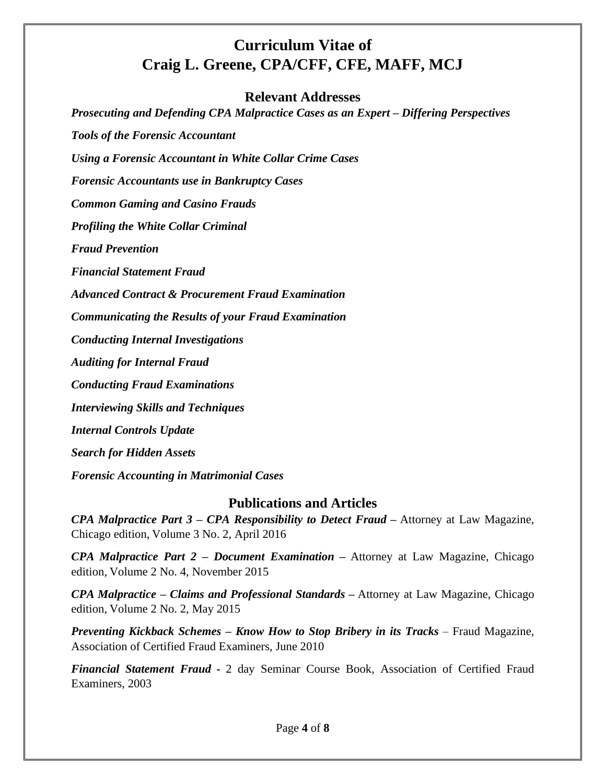#### **Relevant Addresses**

*Prosecuting and Defending CPA Malpractice Cases as an Expert – Differing Perspectives*

*Tools of the Forensic Accountant*

*Using a Forensic Accountant in White Collar Crime Cases*

*Forensic Accountants use in Bankruptcy Cases*

*Common Gaming and Casino Frauds*

*Profiling the White Collar Criminal*

*Fraud Prevention*

*Financial Statement Fraud*

*Advanced Contract & Procurement Fraud Examination*

*Communicating the Results of your Fraud Examination*

*Conducting Internal Investigations*

*Auditing for Internal Fraud*

*Conducting Fraud Examinations*

*Interviewing Skills and Techniques*

*Internal Controls Update*

*Search for Hidden Assets*

*Forensic Accounting in Matrimonial Cases*

#### **Publications and Articles**

*CPA Malpractice Part 3 – CPA Responsibility to Detect Fraud –* Attorney at Law Magazine, Chicago edition, Volume 3 No. 2, April 2016

*CPA Malpractice Part 2 – Document Examination –* Attorney at Law Magazine, Chicago edition, Volume 2 No. 4, November 2015

*CPA Malpractice – Claims and Professional Standards –* Attorney at Law Magazine, Chicago edition, Volume 2 No. 2, May 2015

*Preventing Kickback Schemes – Know How to Stop Bribery in its Tracks* – Fraud Magazine, Association of Certified Fraud Examiners, June 2010

*Financial Statement Fraud -* 2 day Seminar Course Book, Association of Certified Fraud Examiners, 2003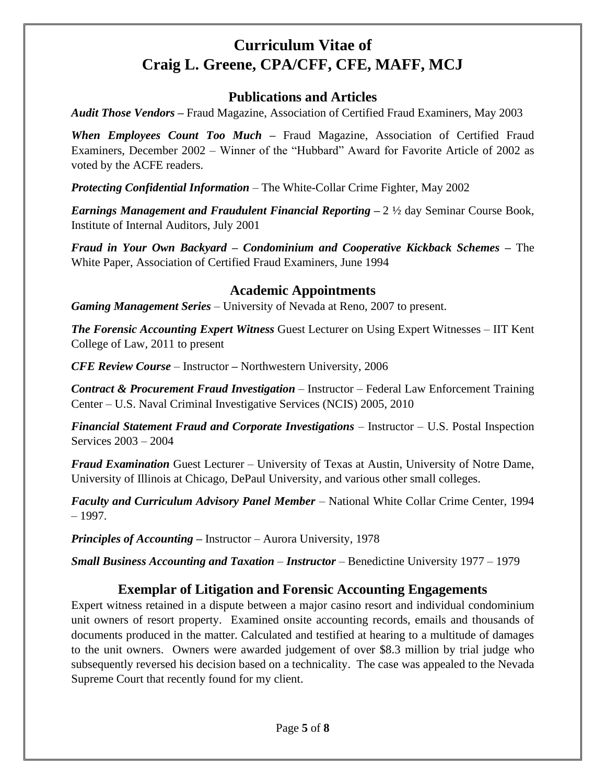### **Publications and Articles**

*Audit Those Vendors –* Fraud Magazine, Association of Certified Fraud Examiners, May 2003

*When Employees Count Too Much –* Fraud Magazine, Association of Certified Fraud Examiners, December 2002 – Winner of the "Hubbard" Award for Favorite Article of 2002 as voted by the ACFE readers.

*Protecting Confidential Information* – The White-Collar Crime Fighter, May 2002

*Earnings Management and Fraudulent Financial Reporting –* 2 ½ day Seminar Course Book, Institute of Internal Auditors, July 2001

*Fraud in Your Own Backyard – Condominium and Cooperative Kickback Schemes –* The White Paper, Association of Certified Fraud Examiners, June 1994

### **Academic Appointments**

*Gaming Management Series* – University of Nevada at Reno, 2007 to present.

*The Forensic Accounting Expert Witness* Guest Lecturer on Using Expert Witnesses – IIT Kent College of Law, 2011 to present

*CFE Review Course* – Instructor *–* Northwestern University, 2006

*Contract & Procurement Fraud Investigation* – Instructor – Federal Law Enforcement Training Center – U.S. Naval Criminal Investigative Services (NCIS) 2005, 2010

*Financial Statement Fraud and Corporate Investigations* – Instructor – U.S. Postal Inspection Services 2003 – 2004

*Fraud Examination* Guest Lecturer – University of Texas at Austin, University of Notre Dame, University of Illinois at Chicago, DePaul University, and various other small colleges.

*Faculty and Curriculum Advisory Panel Member* – National White Collar Crime Center, 1994 – 1997.

*Principles of Accounting –* Instructor – Aurora University, 1978

*Small Business Accounting and Taxation* – *Instructor* – Benedictine University 1977 – 1979

## **Exemplar of Litigation and Forensic Accounting Engagements**

Expert witness retained in a dispute between a major casino resort and individual condominium unit owners of resort property. Examined onsite accounting records, emails and thousands of documents produced in the matter. Calculated and testified at hearing to a multitude of damages to the unit owners. Owners were awarded judgement of over \$8.3 million by trial judge who subsequently reversed his decision based on a technicality. The case was appealed to the Nevada Supreme Court that recently found for my client.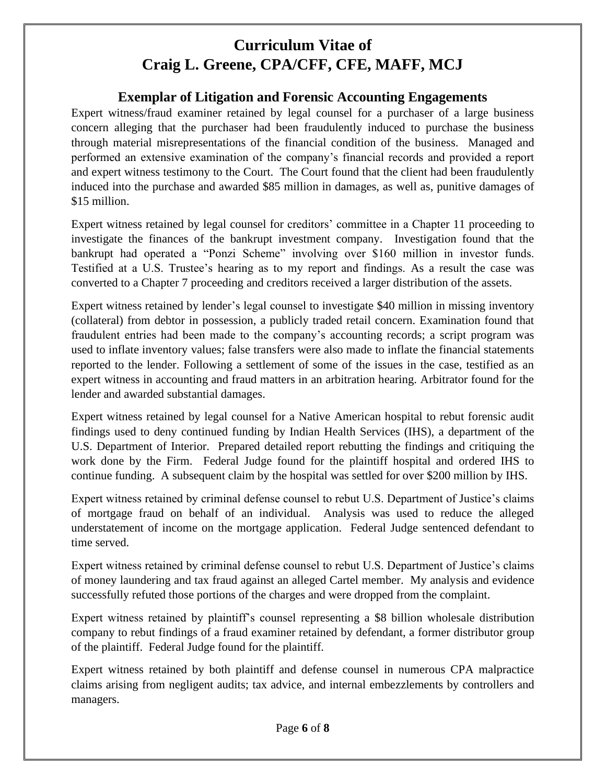### **Exemplar of Litigation and Forensic Accounting Engagements**

Expert witness/fraud examiner retained by legal counsel for a purchaser of a large business concern alleging that the purchaser had been fraudulently induced to purchase the business through material misrepresentations of the financial condition of the business. Managed and performed an extensive examination of the company's financial records and provided a report and expert witness testimony to the Court. The Court found that the client had been fraudulently induced into the purchase and awarded \$85 million in damages, as well as, punitive damages of \$15 million.

Expert witness retained by legal counsel for creditors' committee in a Chapter 11 proceeding to investigate the finances of the bankrupt investment company. Investigation found that the bankrupt had operated a "Ponzi Scheme" involving over \$160 million in investor funds. Testified at a U.S. Trustee's hearing as to my report and findings. As a result the case was converted to a Chapter 7 proceeding and creditors received a larger distribution of the assets.

Expert witness retained by lender's legal counsel to investigate \$40 million in missing inventory (collateral) from debtor in possession, a publicly traded retail concern. Examination found that fraudulent entries had been made to the company's accounting records; a script program was used to inflate inventory values; false transfers were also made to inflate the financial statements reported to the lender. Following a settlement of some of the issues in the case, testified as an expert witness in accounting and fraud matters in an arbitration hearing. Arbitrator found for the lender and awarded substantial damages.

Expert witness retained by legal counsel for a Native American hospital to rebut forensic audit findings used to deny continued funding by Indian Health Services (IHS), a department of the U.S. Department of Interior. Prepared detailed report rebutting the findings and critiquing the work done by the Firm. Federal Judge found for the plaintiff hospital and ordered IHS to continue funding. A subsequent claim by the hospital was settled for over \$200 million by IHS.

Expert witness retained by criminal defense counsel to rebut U.S. Department of Justice's claims of mortgage fraud on behalf of an individual. Analysis was used to reduce the alleged understatement of income on the mortgage application. Federal Judge sentenced defendant to time served.

Expert witness retained by criminal defense counsel to rebut U.S. Department of Justice's claims of money laundering and tax fraud against an alleged Cartel member. My analysis and evidence successfully refuted those portions of the charges and were dropped from the complaint.

Expert witness retained by plaintiff's counsel representing a \$8 billion wholesale distribution company to rebut findings of a fraud examiner retained by defendant, a former distributor group of the plaintiff. Federal Judge found for the plaintiff.

Expert witness retained by both plaintiff and defense counsel in numerous CPA malpractice claims arising from negligent audits; tax advice, and internal embezzlements by controllers and managers.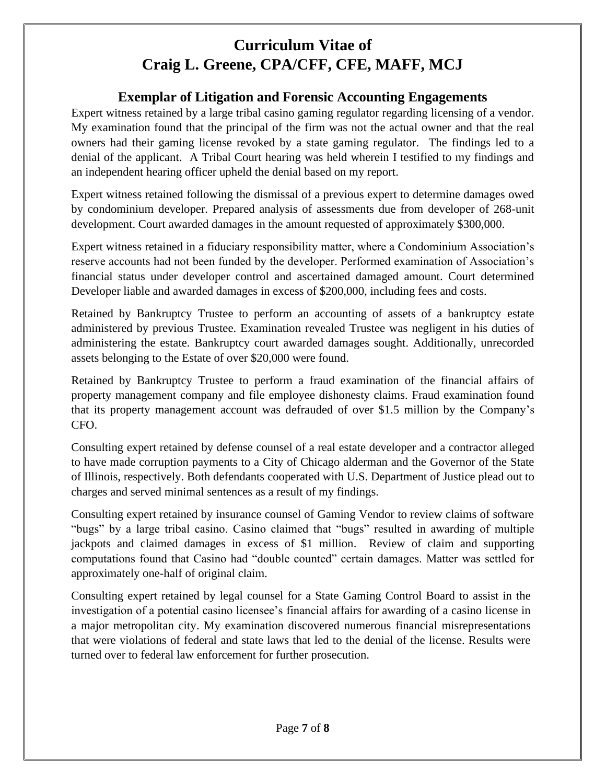## **Exemplar of Litigation and Forensic Accounting Engagements**

Expert witness retained by a large tribal casino gaming regulator regarding licensing of a vendor. My examination found that the principal of the firm was not the actual owner and that the real owners had their gaming license revoked by a state gaming regulator. The findings led to a denial of the applicant. A Tribal Court hearing was held wherein I testified to my findings and an independent hearing officer upheld the denial based on my report.

Expert witness retained following the dismissal of a previous expert to determine damages owed by condominium developer. Prepared analysis of assessments due from developer of 268-unit development. Court awarded damages in the amount requested of approximately \$300,000.

Expert witness retained in a fiduciary responsibility matter, where a Condominium Association's reserve accounts had not been funded by the developer. Performed examination of Association's financial status under developer control and ascertained damaged amount. Court determined Developer liable and awarded damages in excess of \$200,000, including fees and costs.

Retained by Bankruptcy Trustee to perform an accounting of assets of a bankruptcy estate administered by previous Trustee. Examination revealed Trustee was negligent in his duties of administering the estate. Bankruptcy court awarded damages sought. Additionally, unrecorded assets belonging to the Estate of over \$20,000 were found.

Retained by Bankruptcy Trustee to perform a fraud examination of the financial affairs of property management company and file employee dishonesty claims. Fraud examination found that its property management account was defrauded of over \$1.5 million by the Company's CFO.

Consulting expert retained by defense counsel of a real estate developer and a contractor alleged to have made corruption payments to a City of Chicago alderman and the Governor of the State of Illinois, respectively. Both defendants cooperated with U.S. Department of Justice plead out to charges and served minimal sentences as a result of my findings.

Consulting expert retained by insurance counsel of Gaming Vendor to review claims of software "bugs" by a large tribal casino. Casino claimed that "bugs" resulted in awarding of multiple jackpots and claimed damages in excess of \$1 million. Review of claim and supporting computations found that Casino had "double counted" certain damages. Matter was settled for approximately one-half of original claim.

Consulting expert retained by legal counsel for a State Gaming Control Board to assist in the investigation of a potential casino licensee's financial affairs for awarding of a casino license in a major metropolitan city. My examination discovered numerous financial misrepresentations that were violations of federal and state laws that led to the denial of the license. Results were turned over to federal law enforcement for further prosecution.